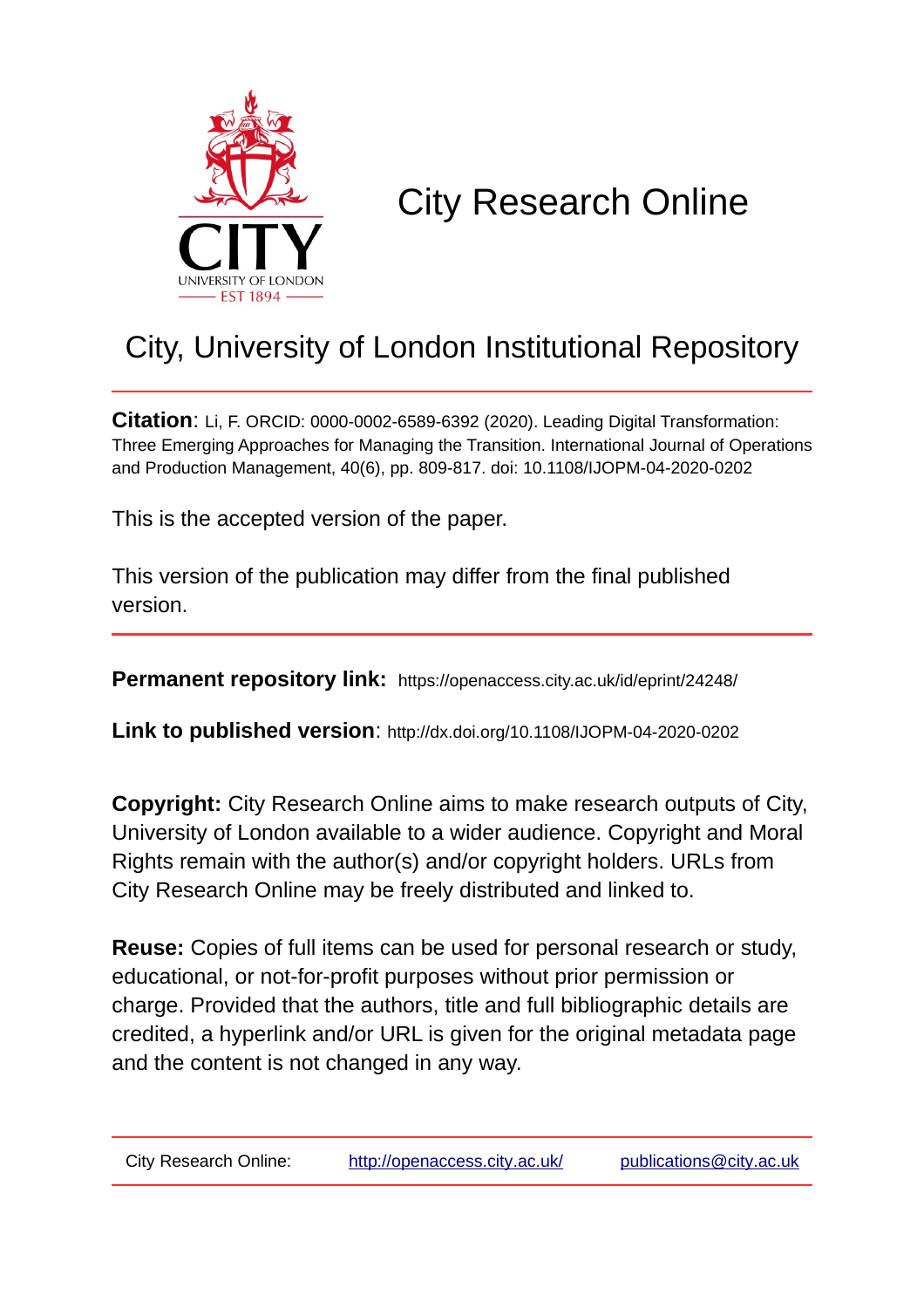

# City Research Online

## City, University of London Institutional Repository

**Citation**: Li, F. ORCID: 0000-0002-6589-6392 (2020). Leading Digital Transformation: Three Emerging Approaches for Managing the Transition. International Journal of Operations and Production Management, 40(6), pp. 809-817. doi: 10.1108/IJOPM-04-2020-0202

This is the accepted version of the paper.

This version of the publication may differ from the final published version.

**Permanent repository link:** https://openaccess.city.ac.uk/id/eprint/24248/

**Link to published version**: http://dx.doi.org/10.1108/IJOPM-04-2020-0202

**Copyright:** City Research Online aims to make research outputs of City, University of London available to a wider audience. Copyright and Moral Rights remain with the author(s) and/or copyright holders. URLs from City Research Online may be freely distributed and linked to.

**Reuse:** Copies of full items can be used for personal research or study, educational, or not-for-profit purposes without prior permission or charge. Provided that the authors, title and full bibliographic details are credited, a hyperlink and/or URL is given for the original metadata page and the content is not changed in any way.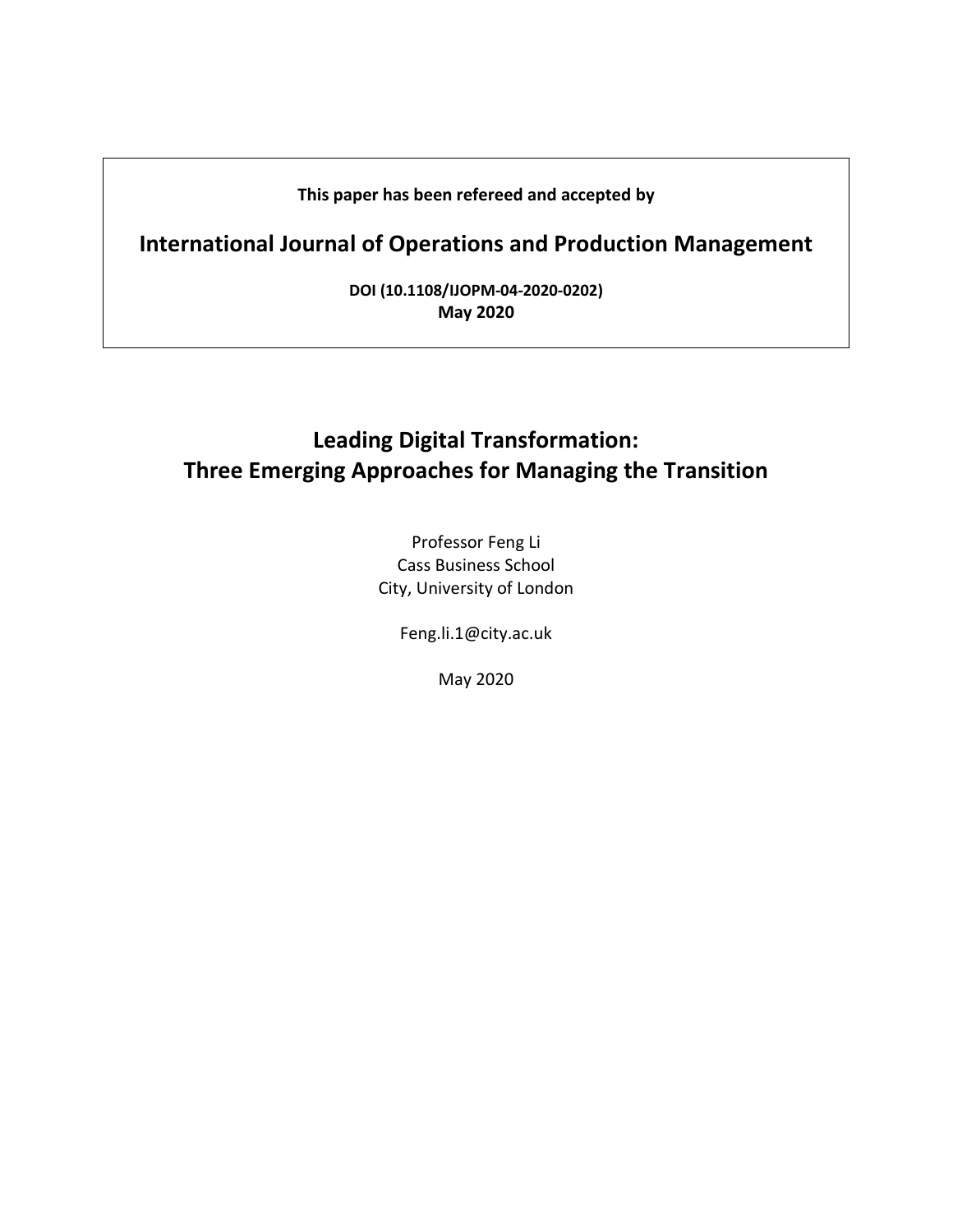#### **This paper has been refereed and accepted by**

## **International Journal of Operations and Production Management**

**DOI (10.1108/IJOPM-04-2020-0202) May 2020** 

### **Leading Digital Transformation: Three Emerging Approaches for Managing the Transition**

Professor Feng Li Cass Business School City, University of London

Feng.li.1@city.ac.uk

May 2020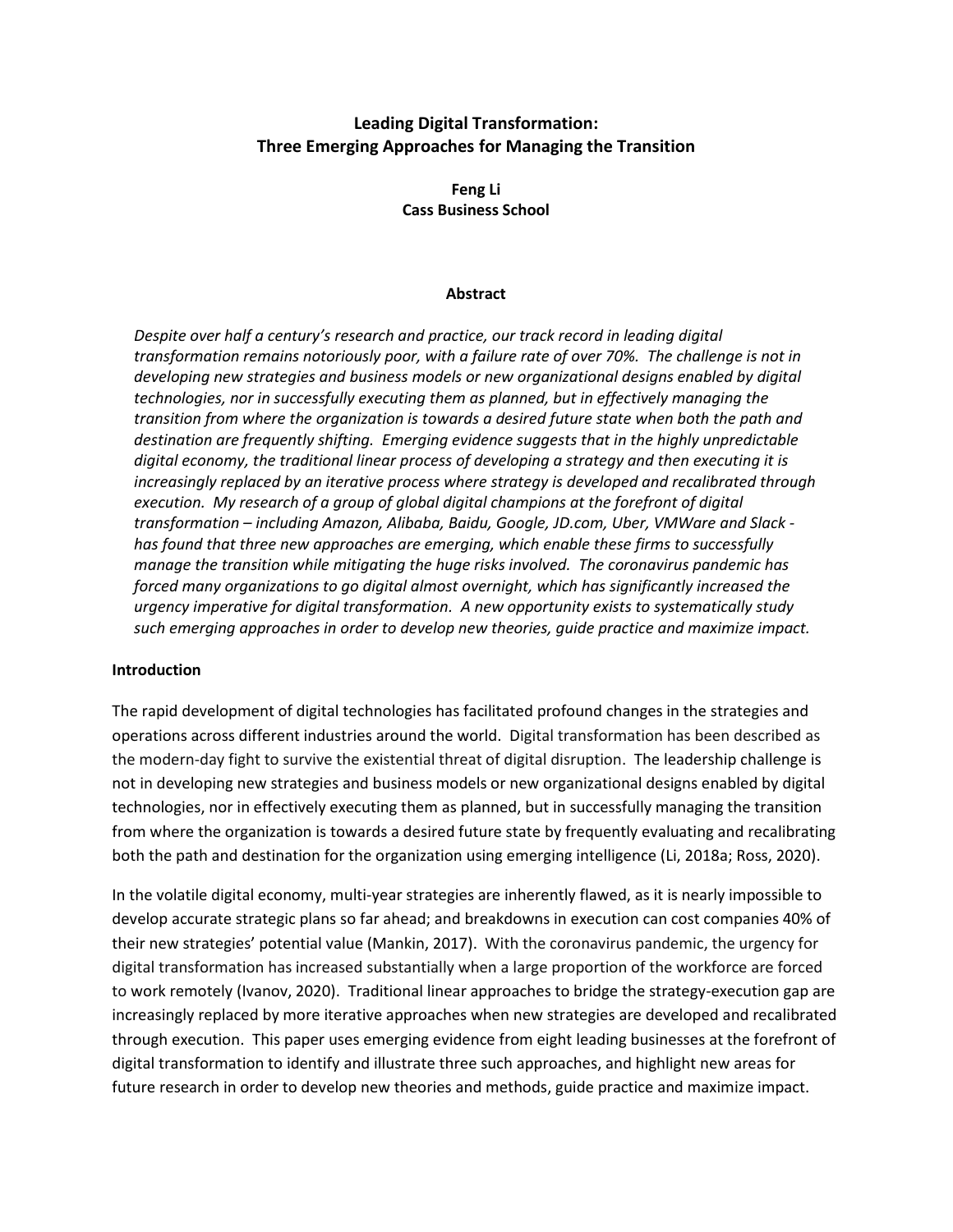#### **Leading Digital Transformation: Three Emerging Approaches for Managing the Transition**

**Feng Li Cass Business School** 

#### **Abstract**

*Despite over half a century's research and practice, our track record in leading digital transformation remains notoriously poor, with a failure rate of over 70%. The challenge is not in developing new strategies and business models or new organizational designs enabled by digital technologies, nor in successfully executing them as planned, but in effectively managing the transition from where the organization is towards a desired future state when both the path and destination are frequently shifting. Emerging evidence suggests that in the highly unpredictable digital economy, the traditional linear process of developing a strategy and then executing it is increasingly replaced by an iterative process where strategy is developed and recalibrated through execution. My research of a group of global digital champions at the forefront of digital transformation – including Amazon, Alibaba, Baidu, Google, JD.com, Uber, VMWare and Slack has found that three new approaches are emerging, which enable these firms to successfully manage the transition while mitigating the huge risks involved. The coronavirus pandemic has forced many organizations to go digital almost overnight, which has significantly increased the urgency imperative for digital transformation. A new opportunity exists to systematically study such emerging approaches in order to develop new theories, guide practice and maximize impact.* 

#### **Introduction**

The rapid development of digital technologies has facilitated profound changes in the strategies and operations across different industries around the world. Digital transformation has been described as the modern-day fight to survive the existential threat of digital disruption. The leadership challenge is not in developing new strategies and business models or new organizational designs enabled by digital technologies, nor in effectively executing them as planned, but in successfully managing the transition from where the organization is towards a desired future state by frequently evaluating and recalibrating both the path and destination for the organization using emerging intelligence (Li, 2018a; Ross, 2020).

In the volatile digital economy, multi-year strategies are inherently flawed, as it is nearly impossible to develop accurate strategic plans so far ahead; and breakdowns in execution can cost companies 40% of their new strategies' potential value (Mankin, 2017). With the coronavirus pandemic, the urgency for digital transformation has increased substantially when a large proportion of the workforce are forced to work remotely (Ivanov, 2020). Traditional linear approaches to bridge the strategy-execution gap are increasingly replaced by more iterative approaches when new strategies are developed and recalibrated through execution. This paper uses emerging evidence from eight leading businesses at the forefront of digital transformation to identify and illustrate three such approaches, and highlight new areas for future research in order to develop new theories and methods, guide practice and maximize impact.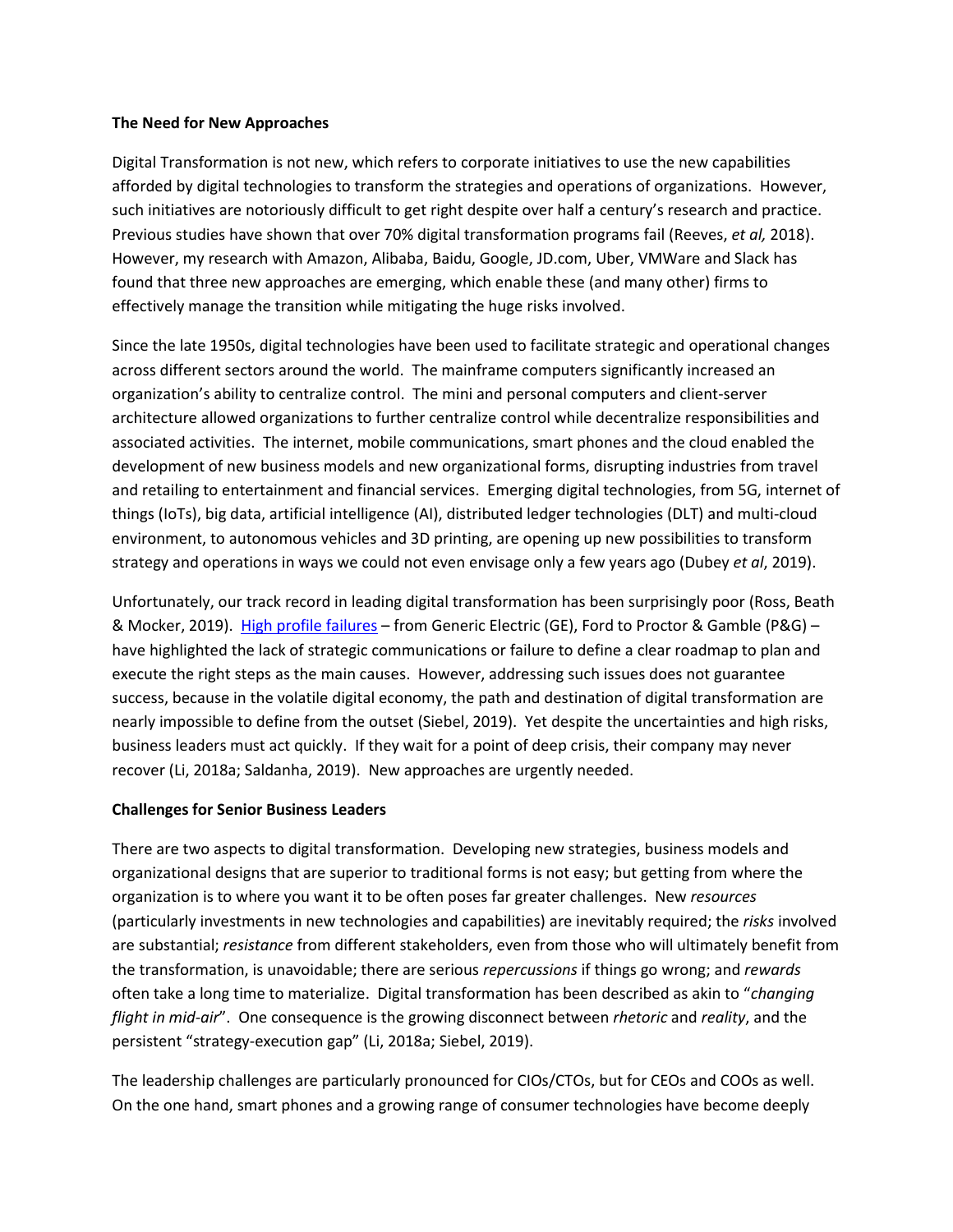#### **The Need for New Approaches**

Digital Transformation is not new, which refers to corporate initiatives to use the new capabilities afforded by digital technologies to transform the strategies and operations of organizations. However, such initiatives are notoriously difficult to get right despite over half a century's research and practice. Previous studies have shown that over 70% digital transformation programs fail (Reeves, *et al,* 2018). However, my research with Amazon, Alibaba, Baidu, Google, JD.com, Uber, VMWare and Slack has found that three new approaches are emerging, which enable these (and many other) firms to effectively manage the transition while mitigating the huge risks involved.

Since the late 1950s, digital technologies have been used to facilitate strategic and operational changes across different sectors around the world. The mainframe computers significantly increased an organization's ability to centralize control. The mini and personal computers and client-server architecture allowed organizations to further centralize control while decentralize responsibilities and associated activities. The internet, mobile communications, smart phones and the cloud enabled the development of new business models and new organizational forms, disrupting industries from travel and retailing to entertainment and financial services. Emerging digital technologies, from 5G, internet of things (IoTs), big data, artificial intelligence (AI), distributed ledger technologies (DLT) and multi-cloud environment, to autonomous vehicles and 3D printing, are opening up new possibilities to transform strategy and operations in ways we could not even envisage only a few years ago (Dubey *et al*, 2019).

Unfortunately, our track record in leading digital transformation has been surprisingly poor (Ross, Beath & Mocker, 2019). [High profile failures](https://www.cnbc.com/2019/10/30/heres-why-ge-fords-digital-transformation-programs-failed-last-year.html) – from Generic Electric (GE), Ford to Proctor & Gamble (P&G) – have highlighted the lack of strategic communications or failure to define a clear roadmap to plan and execute the right steps as the main causes. However, addressing such issues does not guarantee success, because in the volatile digital economy, the path and destination of digital transformation are nearly impossible to define from the outset (Siebel, 2019). Yet despite the uncertainties and high risks, business leaders must act quickly. If they wait for a point of deep crisis, their company may never recover (Li, 2018a; Saldanha, 2019). New approaches are urgently needed.

#### **Challenges for Senior Business Leaders**

There are two aspects to digital transformation. Developing new strategies, business models and organizational designs that are superior to traditional forms is not easy; but getting from where the organization is to where you want it to be often poses far greater challenges. New *resources* (particularly investments in new technologies and capabilities) are inevitably required; the *risks* involved are substantial; *resistance* from different stakeholders, even from those who will ultimately benefit from the transformation, is unavoidable; there are serious *repercussions* if things go wrong; and *rewards* often take a long time to materialize. Digital transformation has been described as akin to "*changing flight in mid-air*". One consequence is the growing disconnect between *rhetoric* and *reality*, and the persistent "strategy-execution gap" (Li, 2018a; Siebel, 2019).

The leadership challenges are particularly pronounced for CIOs/CTOs, but for CEOs and COOs as well. On the one hand, smart phones and a growing range of consumer technologies have become deeply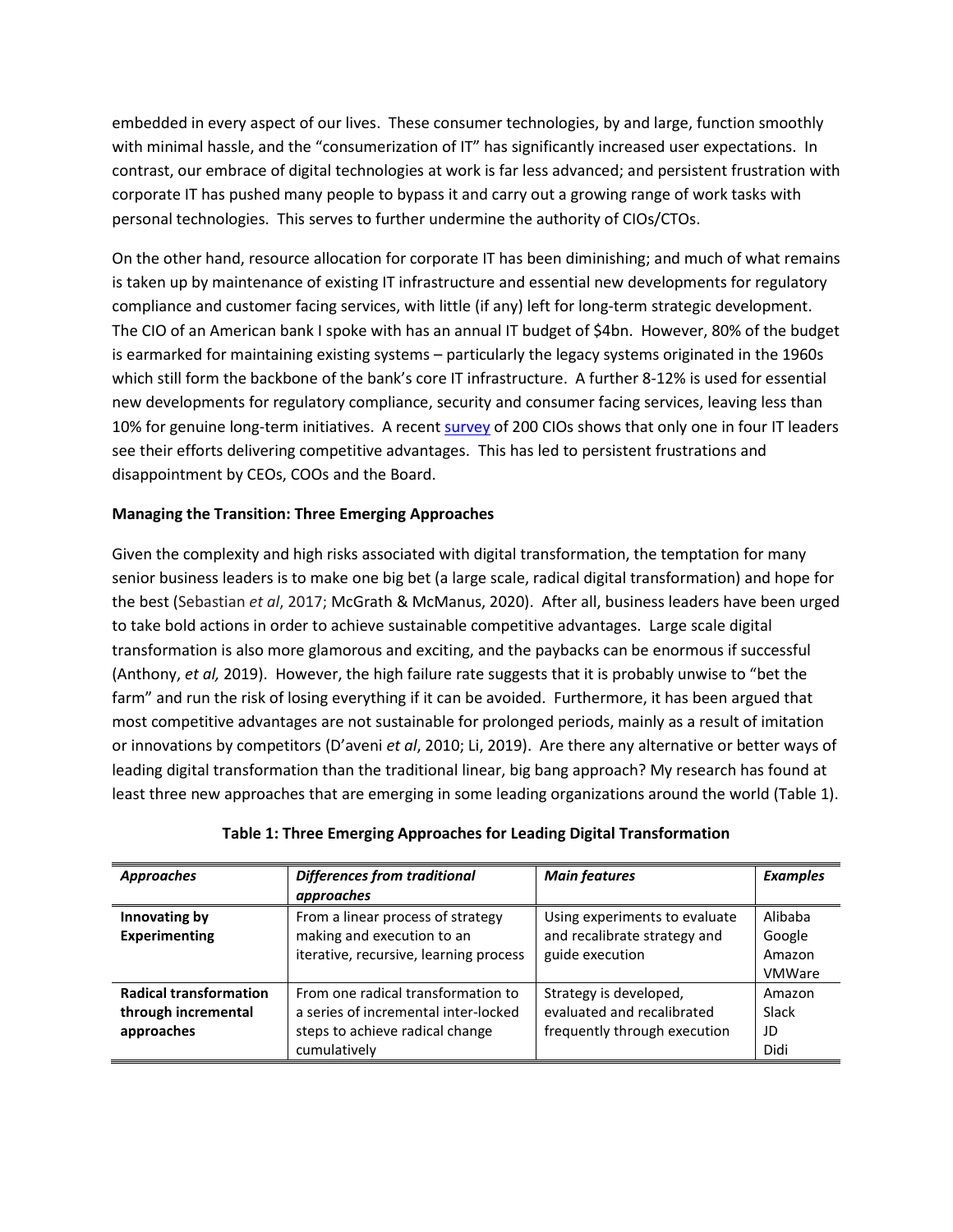embedded in every aspect of our lives. These consumer technologies, by and large, function smoothly with minimal hassle, and the "consumerization of IT" has significantly increased user expectations. In contrast, our embrace of digital technologies at work is far less advanced; and persistent frustration with corporate IT has pushed many people to bypass it and carry out a growing range of work tasks with personal technologies. This serves to further undermine the authority of CIOs/CTOs.

On the other hand, resource allocation for corporate IT has been diminishing; and much of what remains is taken up by maintenance of existing IT infrastructure and essential new developments for regulatory compliance and customer facing services, with little (if any) left for long-term strategic development. The CIO of an American bank I spoke with has an annual IT budget of \$4bn. However, 80% of the budget is earmarked for maintaining existing systems – particularly the legacy systems originated in the 1960s which still form the backbone of the bank's core IT infrastructure. A further 8-12% is used for essential new developments for regulatory compliance, security and consumer facing services, leaving less than 10% for genuine long-term initiatives. A recen[t survey](https://cmo.adobe.com/articles/2019/11/study--only-25--of-cios-feel-their-work-is-differentiated-from-c.html#gs.y3bmmt) of 200 CIOs shows that only one in four IT leaders see their efforts delivering competitive advantages. This has led to persistent frustrations and disappointment by CEOs, COOs and the Board.

#### **Managing the Transition: Three Emerging Approaches**

Given the complexity and high risks associated with digital transformation, the temptation for many senior business leaders is to make one big bet (a large scale, radical digital transformation) and hope for the best (Sebastian *et al*, 2017; McGrath & McManus, 2020). After all, business leaders have been urged to take bold actions in order to achieve sustainable competitive advantages. Large scale digital transformation is also more glamorous and exciting, and the paybacks can be enormous if successful (Anthony, *et al,* 2019). However, the high failure rate suggests that it is probably unwise to "bet the farm" and run the risk of losing everything if it can be avoided. Furthermore, it has been argued that most competitive advantages are not sustainable for prolonged periods, mainly as a result of imitation or innovations by competitors (D'aveni *et al*, 2010; Li, 2019). Are there any alternative or better ways of leading digital transformation than the traditional linear, big bang approach? My research has found at least three new approaches that are emerging in some leading organizations around the world (Table 1).

| <b>Approaches</b>                                                  | <b>Differences from traditional</b><br>approaches                                                                                                                                             | <b>Main features</b>                                                                 | <b>Examples</b>                              |
|--------------------------------------------------------------------|-----------------------------------------------------------------------------------------------------------------------------------------------------------------------------------------------|--------------------------------------------------------------------------------------|----------------------------------------------|
| Innovating by<br><b>Experimenting</b>                              | From a linear process of strategy<br>Using experiments to evaluate<br>making and execution to an<br>and recalibrate strategy and<br>iterative, recursive, learning process<br>guide execution |                                                                                      | Alibaba<br>Google<br>Amazon<br><b>VMWare</b> |
| <b>Radical transformation</b><br>through incremental<br>approaches | From one radical transformation to<br>a series of incremental inter-locked<br>steps to achieve radical change<br>cumulatively                                                                 | Strategy is developed,<br>evaluated and recalibrated<br>frequently through execution | Amazon<br>Slack<br>JD<br>Didi                |

|  |  |  |  |  | Table 1: Three Emerging Approaches for Leading Digital Transformation |
|--|--|--|--|--|-----------------------------------------------------------------------|
|--|--|--|--|--|-----------------------------------------------------------------------|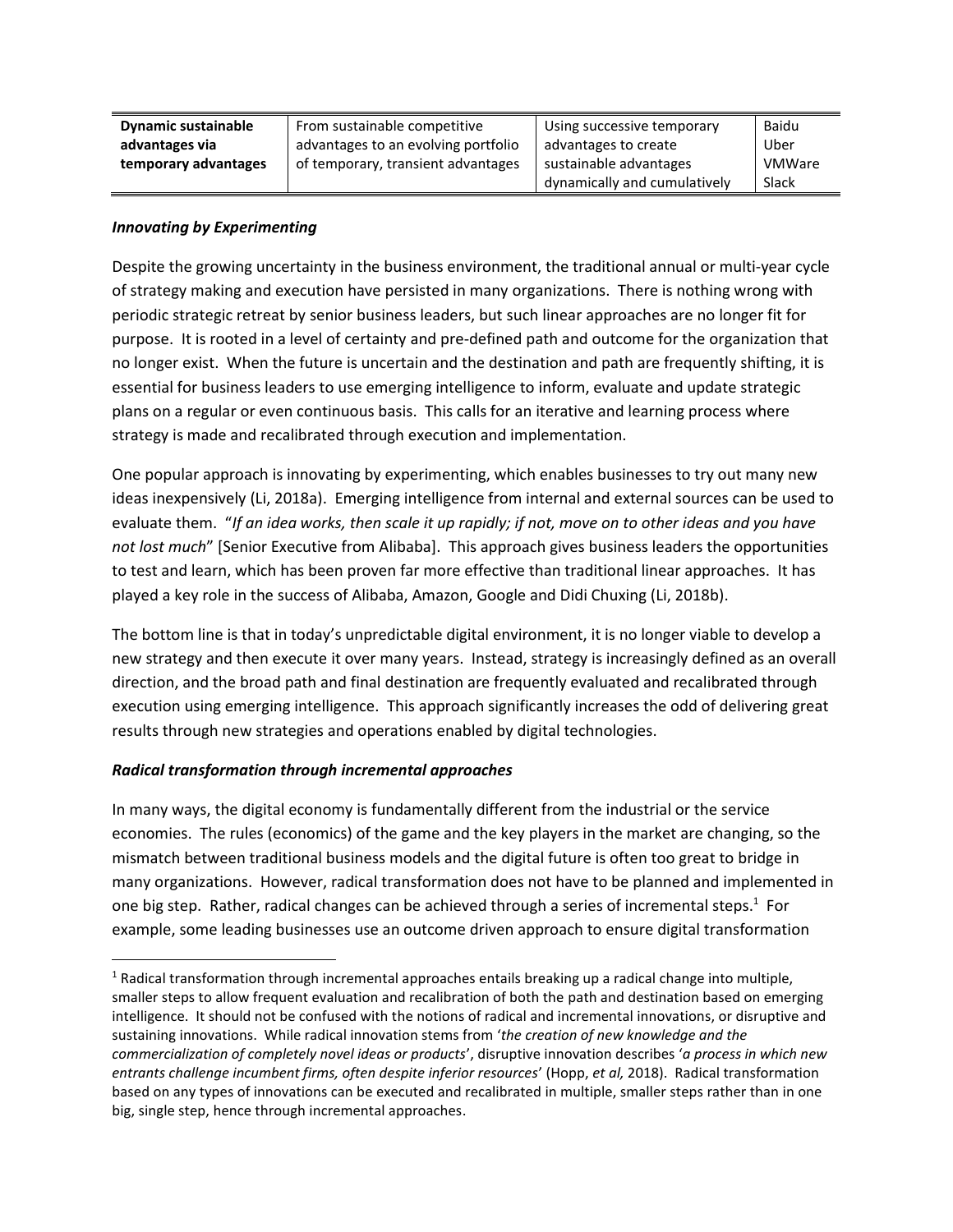| <b>Dynamic sustainable</b> | From sustainable competitive                                 | Using successive temporary   | Baidu         |
|----------------------------|--------------------------------------------------------------|------------------------------|---------------|
| advantages via             | advantages to an evolving portfolio<br>advantages to create  |                              | Uber          |
| temporary advantages       | of temporary, transient advantages<br>sustainable advantages |                              | <b>VMWare</b> |
|                            |                                                              | dynamically and cumulatively | Slack         |

#### *Innovating by Experimenting*

Despite the growing uncertainty in the business environment, the traditional annual or multi-year cycle of strategy making and execution have persisted in many organizations. There is nothing wrong with periodic strategic retreat by senior business leaders, but such linear approaches are no longer fit for purpose. It is rooted in a level of certainty and pre-defined path and outcome for the organization that no longer exist. When the future is uncertain and the destination and path are frequently shifting, it is essential for business leaders to use emerging intelligence to inform, evaluate and update strategic plans on a regular or even continuous basis. This calls for an iterative and learning process where strategy is made and recalibrated through execution and implementation.

One popular approach is innovating by experimenting, which enables businesses to try out many new ideas inexpensively (Li, 2018a). Emerging intelligence from internal and external sources can be used to evaluate them. "*If an idea works, then scale it up rapidly; if not, move on to other ideas and you have not lost much*" [Senior Executive from Alibaba]. This approach gives business leaders the opportunities to test and learn, which has been proven far more effective than traditional linear approaches. It has played a key role in the success of Alibaba, Amazon, Google and Didi Chuxing (Li, 2018b).

The bottom line is that in today's unpredictable digital environment, it is no longer viable to develop a new strategy and then execute it over many years. Instead, strategy is increasingly defined as an overall direction, and the broad path and final destination are frequently evaluated and recalibrated through execution using emerging intelligence. This approach significantly increases the odd of delivering great results through new strategies and operations enabled by digital technologies.

#### *Radical transformation through incremental approaches*

In many ways, the digital economy is fundamentally different from the industrial or the service economies. The rules (economics) of the game and the key players in the market are changing, so the mismatch between traditional business models and the digital future is often too great to bridge in many organizations. However, radical transformation does not have to be planned and implemented in one big step. Rather, radical changes can be achieved through a series of incremental steps.<sup>1</sup> For example, some leading businesses use an outcome driven approach to ensure digital transformation

 $1$  Radical transformation through incremental approaches entails breaking up a radical change into multiple, smaller steps to allow frequent evaluation and recalibration of both the path and destination based on emerging intelligence. It should not be confused with the notions of radical and incremental innovations, or disruptive and sustaining innovations. While radical innovation stems from '*the creation of new knowledge and the commercialization of completely novel ideas or products*', disruptive innovation describes '*a process in which new entrants challenge incumbent firms, often despite inferior resources*' (Hopp, *et al,* 2018). Radical transformation based on any types of innovations can be executed and recalibrated in multiple, smaller steps rather than in one big, single step, hence through incremental approaches.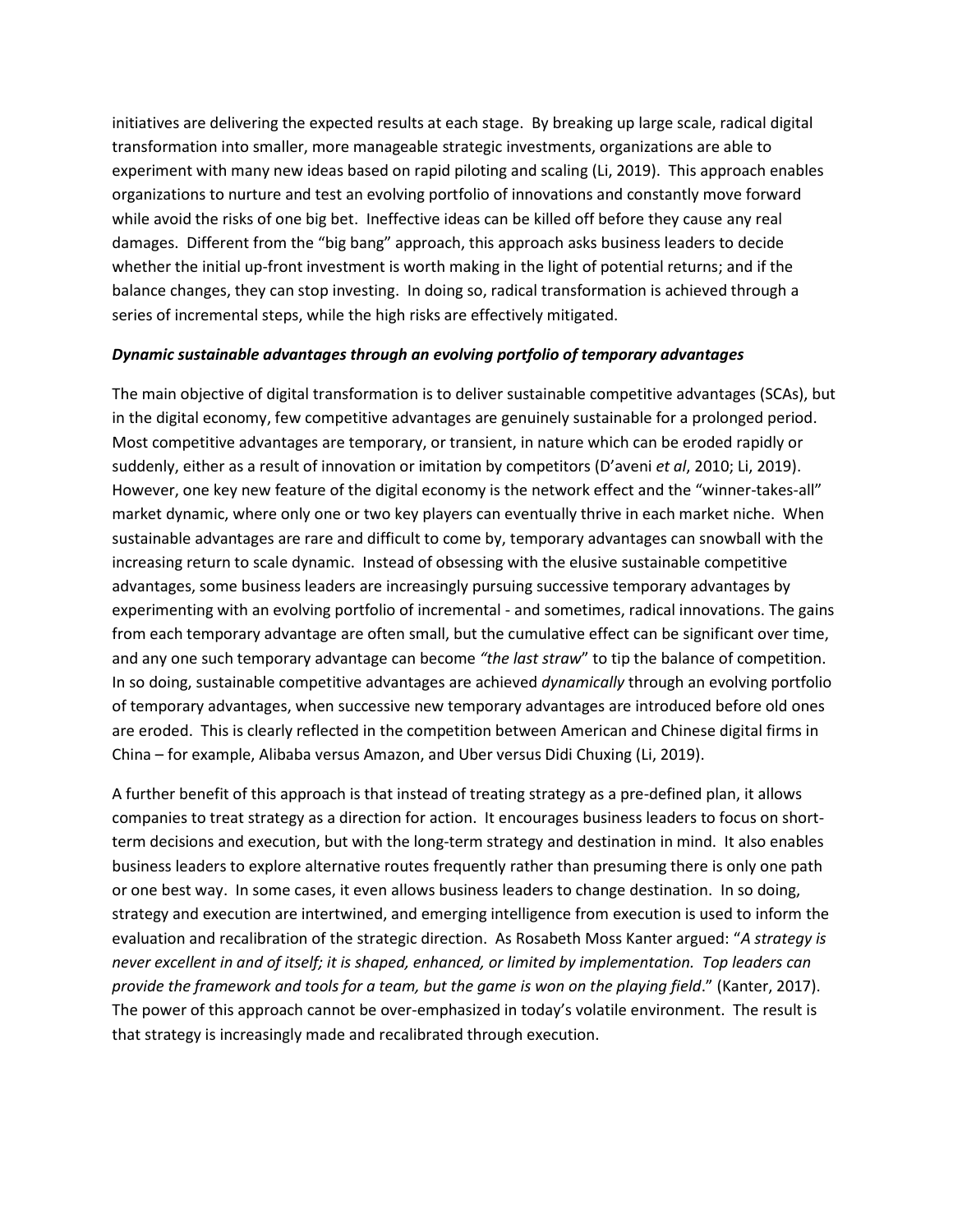initiatives are delivering the expected results at each stage. By breaking up large scale, radical digital transformation into smaller, more manageable strategic investments, organizations are able to experiment with many new ideas based on rapid piloting and scaling (Li, 2019). This approach enables organizations to nurture and test an evolving portfolio of innovations and constantly move forward while avoid the risks of one big bet. Ineffective ideas can be killed off before they cause any real damages. Different from the "big bang" approach, this approach asks business leaders to decide whether the initial up-front investment is worth making in the light of potential returns; and if the balance changes, they can stop investing. In doing so, radical transformation is achieved through a series of incremental steps, while the high risks are effectively mitigated.

#### *Dynamic sustainable advantages through an evolving portfolio of temporary advantages*

The main objective of digital transformation is to deliver sustainable competitive advantages (SCAs), but in the digital economy, few competitive advantages are genuinely sustainable for a prolonged period. Most competitive advantages are temporary, or transient, in nature which can be eroded rapidly or suddenly, either as a result of innovation or imitation by competitors (D'aveni *et al*, 2010; Li, 2019). However, one key new feature of the digital economy is the network effect and the "winner-takes-all" market dynamic, where only one or two key players can eventually thrive in each market niche. When sustainable advantages are rare and difficult to come by, temporary advantages can snowball with the increasing return to scale dynamic. Instead of obsessing with the elusive sustainable competitive advantages, some business leaders are increasingly pursuing successive temporary advantages by experimenting with an evolving portfolio of incremental - and sometimes, radical innovations. The gains from each temporary advantage are often small, but the cumulative effect can be significant over time, and any one such temporary advantage can become *"the last straw*" to tip the balance of competition. In so doing, sustainable competitive advantages are achieved *dynamically* through an evolving portfolio of temporary advantages, when successive new temporary advantages are introduced before old ones are eroded. This is clearly reflected in the competition between American and Chinese digital firms in China – for example, Alibaba versus Amazon, and Uber versus Didi Chuxing (Li, 2019).

A further benefit of this approach is that instead of treating strategy as a pre-defined plan, it allows companies to treat strategy as a direction for action. It encourages business leaders to focus on shortterm decisions and execution, but with the long-term strategy and destination in mind. It also enables business leaders to explore alternative routes frequently rather than presuming there is only one path or one best way. In some cases, it even allows business leaders to change destination. In so doing, strategy and execution are intertwined, and emerging intelligence from execution is used to inform the evaluation and recalibration of the strategic direction. As Rosabeth Moss Kanter argued: "*A strategy is never excellent in and of itself; it is shaped, enhanced, or limited by implementation. Top leaders can provide the framework and tools for a team, but the game is won on the playing field*." (Kanter, 2017). The power of this approach cannot be over-emphasized in today's volatile environment. The result is that strategy is increasingly made and recalibrated through execution.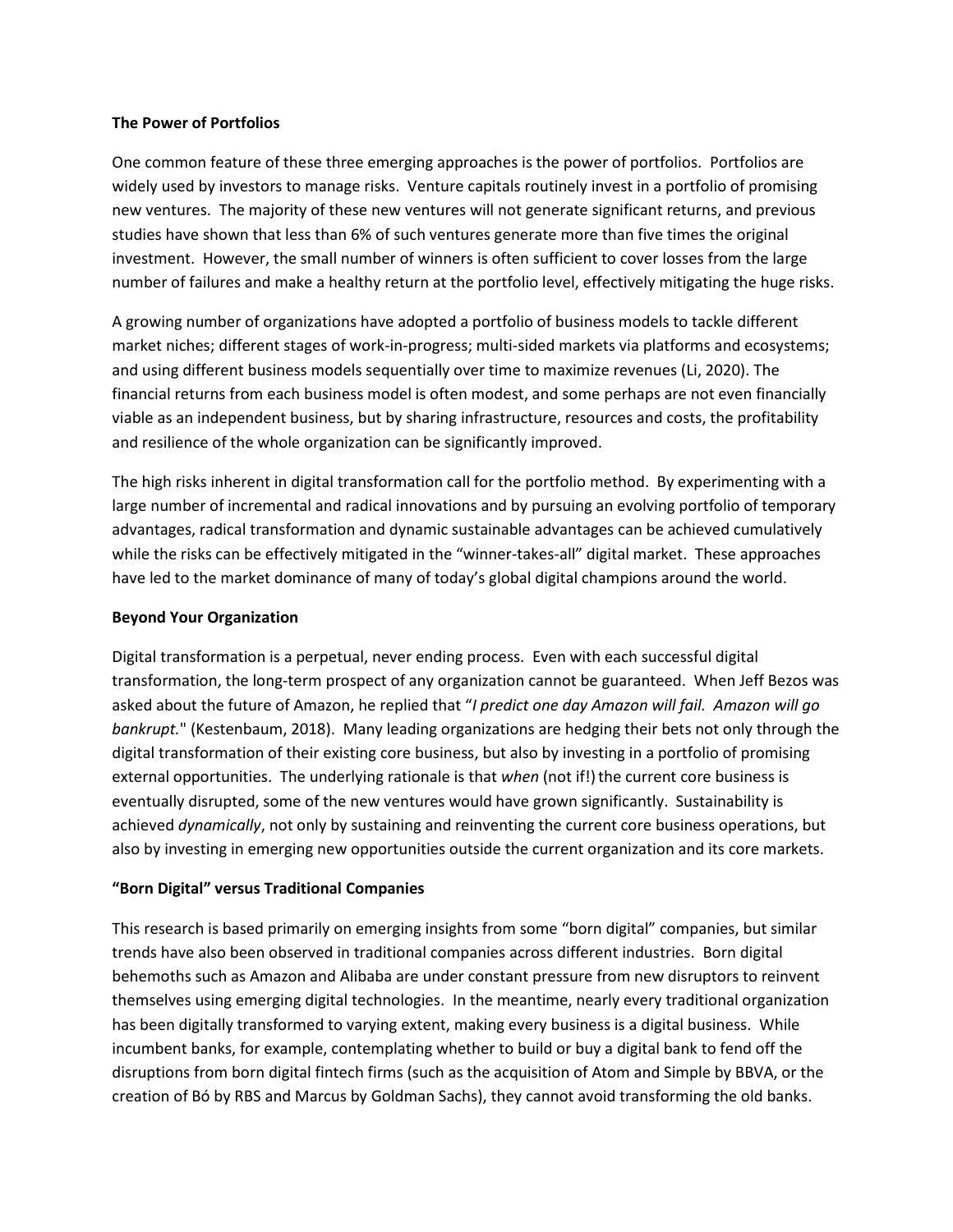#### **The Power of Portfolios**

One common feature of these three emerging approaches is the power of portfolios. Portfolios are widely used by investors to manage risks. Venture capitals routinely invest in a portfolio of promising new ventures. The majority of these new ventures will not generate significant returns, and previous studies have shown that less than 6% of such ventures generate more than five times the original investment. However, the small number of winners is often sufficient to cover losses from the large number of failures and make a healthy return at the portfolio level, effectively mitigating the huge risks.

A growing number of organizations have adopted a portfolio of business models to tackle different market niches; different stages of work-in-progress; multi-sided markets via platforms and ecosystems; and using different business models sequentially over time to maximize revenues (Li, 2020). The financial returns from each business model is often modest, and some perhaps are not even financially viable as an independent business, but by sharing infrastructure, resources and costs, the profitability and resilience of the whole organization can be significantly improved.

The high risks inherent in digital transformation call for the portfolio method. By experimenting with a large number of incremental and radical innovations and by pursuing an evolving portfolio of temporary advantages, radical transformation and dynamic sustainable advantages can be achieved cumulatively while the risks can be effectively mitigated in the "winner-takes-all" digital market. These approaches have led to the market dominance of many of today's global digital champions around the world.

#### **Beyond Your Organization**

Digital transformation is a perpetual, never ending process. Even with each successful digital transformation, the long-term prospect of any organization cannot be guaranteed. When Jeff Bezos was asked about the future of Amazon, he replied that "*I predict one day Amazon will fail. Amazon will go bankrupt.*" (Kestenbaum, 2018). Many leading organizations are hedging their bets not only through the digital transformation of their existing core business, but also by investing in a portfolio of promising external opportunities. The underlying rationale is that when (not if!) the current core business is eventually disrupted, some of the new ventures would have grown significantly. Sustainability is achieved *dynamically*, not only by sustaining and reinventing the current core business operations, but also by investing in emerging new opportunities outside the current organization and its core markets.

#### **"Born Digital" versus Traditional Companies**

This research is based primarily on emerging insights from some "born digital" companies, but similar trends have also been observed in traditional companies across different industries. Born digital behemoths such as Amazon and Alibaba are under constant pressure from new disruptors to reinvent themselves using emerging digital technologies. In the meantime, nearly every traditional organization has been digitally transformed to varying extent, making every business is a digital business. While incumbent banks, for example, contemplating whether to build or buy a digital bank to fend off the disruptions from born digital fintech firms (such as the acquisition of Atom and Simple by BBVA, or the creation of Bó by RBS and Marcus by Goldman Sachs), they cannot avoid transforming the old banks.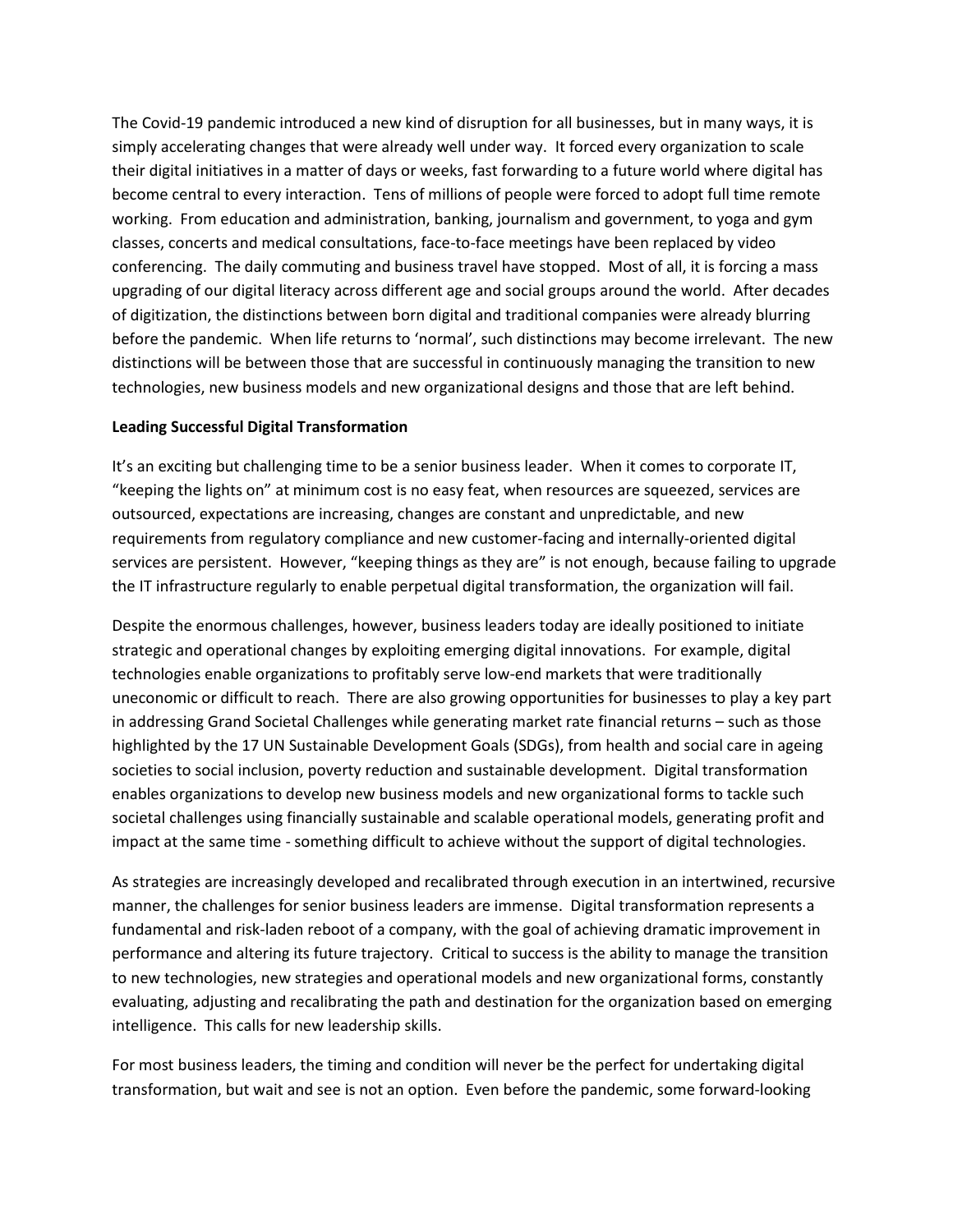The Covid-19 pandemic introduced a new kind of disruption for all businesses, but in many ways, it is simply accelerating changes that were already well under way. It forced every organization to scale their digital initiatives in a matter of days or weeks, fast forwarding to a future world where digital has become central to every interaction. Tens of millions of people were forced to adopt full time remote working. From education and administration, banking, journalism and government, to yoga and gym classes, concerts and medical consultations, face-to-face meetings have been replaced by video conferencing. The daily commuting and business travel have stopped. Most of all, it is forcing a mass upgrading of our digital literacy across different age and social groups around the world. After decades of digitization, the distinctions between born digital and traditional companies were already blurring before the pandemic. When life returns to 'normal', such distinctions may become irrelevant. The new distinctions will be between those that are successful in continuously managing the transition to new technologies, new business models and new organizational designs and those that are left behind.

#### **Leading Successful Digital Transformation**

It's an exciting but challenging time to be a senior business leader. When it comes to corporate IT, "keeping the lights on" at minimum cost is no easy feat, when resources are squeezed, services are outsourced, expectations are increasing, changes are constant and unpredictable, and new requirements from regulatory compliance and new customer-facing and internally-oriented digital services are persistent. However, "keeping things as they are" is not enough, because failing to upgrade the IT infrastructure regularly to enable perpetual digital transformation, the organization will fail.

Despite the enormous challenges, however, business leaders today are ideally positioned to initiate strategic and operational changes by exploiting emerging digital innovations. For example, digital technologies enable organizations to profitably serve low-end markets that were traditionally uneconomic or difficult to reach. There are also growing opportunities for businesses to play a key part in addressing Grand Societal Challenges while generating market rate financial returns – such as those highlighted by the 17 UN Sustainable Development Goals (SDGs), from health and social care in ageing societies to social inclusion, poverty reduction and sustainable development. Digital transformation enables organizations to develop new business models and new organizational forms to tackle such societal challenges using financially sustainable and scalable operational models, generating profit and impact at the same time - something difficult to achieve without the support of digital technologies.

As strategies are increasingly developed and recalibrated through execution in an intertwined, recursive manner, the challenges for senior business leaders are immense. Digital transformation represents a fundamental and risk-laden reboot of a company, with the goal of achieving dramatic improvement in performance and altering its future trajectory. Critical to success is the ability to manage the transition to new technologies, new strategies and operational models and new organizational forms, constantly evaluating, adjusting and recalibrating the path and destination for the organization based on emerging intelligence. This calls for new leadership skills.

For most business leaders, the timing and condition will never be the perfect for undertaking digital transformation, but wait and see is not an option. Even before the pandemic, some forward-looking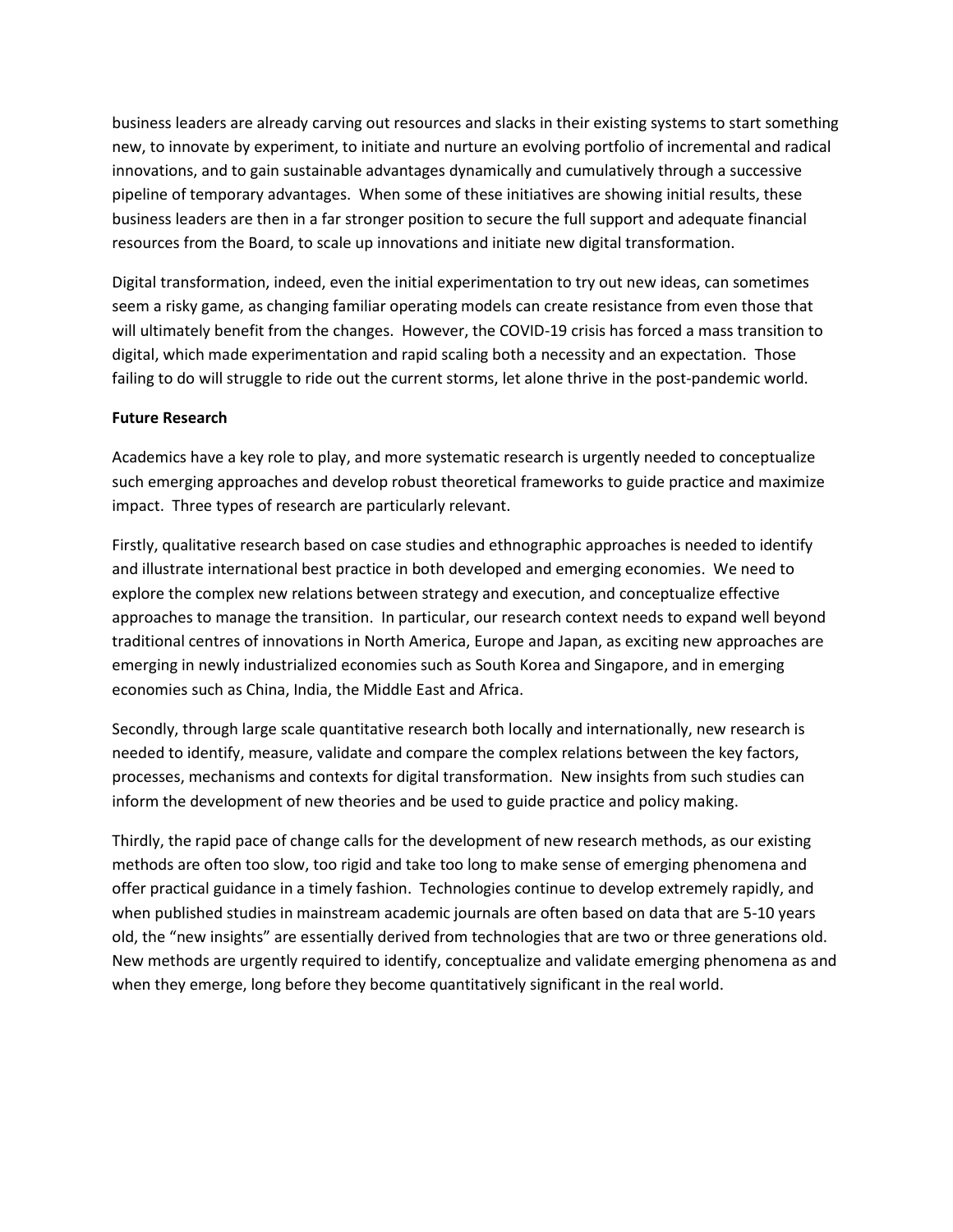business leaders are already carving out resources and slacks in their existing systems to start something new, to innovate by experiment, to initiate and nurture an evolving portfolio of incremental and radical innovations, and to gain sustainable advantages dynamically and cumulatively through a successive pipeline of temporary advantages. When some of these initiatives are showing initial results, these business leaders are then in a far stronger position to secure the full support and adequate financial resources from the Board, to scale up innovations and initiate new digital transformation.

Digital transformation, indeed, even the initial experimentation to try out new ideas, can sometimes seem a risky game, as changing familiar operating models can create resistance from even those that will ultimately benefit from the changes. However, the COVID-19 crisis has forced a mass transition to digital, which made experimentation and rapid scaling both a necessity and an expectation. Those failing to do will struggle to ride out the current storms, let alone thrive in the post-pandemic world.

#### **Future Research**

Academics have a key role to play, and more systematic research is urgently needed to conceptualize such emerging approaches and develop robust theoretical frameworks to guide practice and maximize impact. Three types of research are particularly relevant.

Firstly, qualitative research based on case studies and ethnographic approaches is needed to identify and illustrate international best practice in both developed and emerging economies. We need to explore the complex new relations between strategy and execution, and conceptualize effective approaches to manage the transition. In particular, our research context needs to expand well beyond traditional centres of innovations in North America, Europe and Japan, as exciting new approaches are emerging in newly industrialized economies such as South Korea and Singapore, and in emerging economies such as China, India, the Middle East and Africa.

Secondly, through large scale quantitative research both locally and internationally, new research is needed to identify, measure, validate and compare the complex relations between the key factors, processes, mechanisms and contexts for digital transformation. New insights from such studies can inform the development of new theories and be used to guide practice and policy making.

Thirdly, the rapid pace of change calls for the development of new research methods, as our existing methods are often too slow, too rigid and take too long to make sense of emerging phenomena and offer practical guidance in a timely fashion. Technologies continue to develop extremely rapidly, and when published studies in mainstream academic journals are often based on data that are 5-10 years old, the "new insights" are essentially derived from technologies that are two or three generations old. New methods are urgently required to identify, conceptualize and validate emerging phenomena as and when they emerge, long before they become quantitatively significant in the real world.